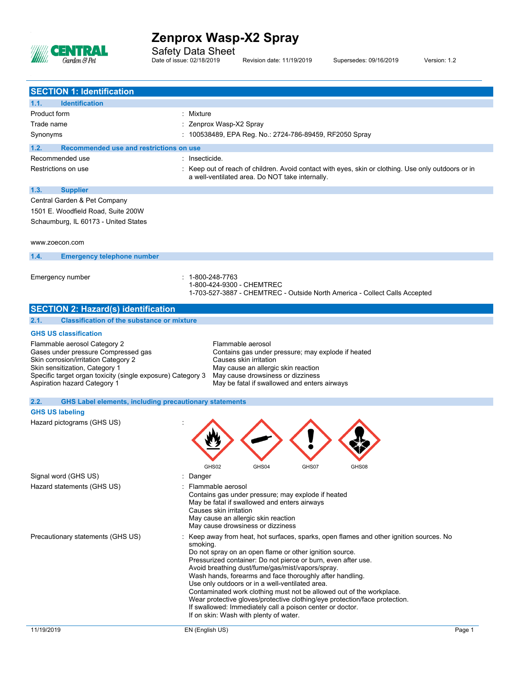

Safety Data Sheet Date of issue: 02/18/2019 Revision date: 11/19/2019 Supersedes: 09/16/2019 Version: 1.2

| <b>SECTION 1: Identification</b>                                                                                                                                                                                                                                                                                                                                                                                                                                              |                                                                                                                                                                                                                                                                                                                                                                                                                                                                                                                                                                                                                                                                 |  |  |  |
|-------------------------------------------------------------------------------------------------------------------------------------------------------------------------------------------------------------------------------------------------------------------------------------------------------------------------------------------------------------------------------------------------------------------------------------------------------------------------------|-----------------------------------------------------------------------------------------------------------------------------------------------------------------------------------------------------------------------------------------------------------------------------------------------------------------------------------------------------------------------------------------------------------------------------------------------------------------------------------------------------------------------------------------------------------------------------------------------------------------------------------------------------------------|--|--|--|
| <b>Identification</b><br>1.1.                                                                                                                                                                                                                                                                                                                                                                                                                                                 |                                                                                                                                                                                                                                                                                                                                                                                                                                                                                                                                                                                                                                                                 |  |  |  |
| Product form                                                                                                                                                                                                                                                                                                                                                                                                                                                                  | : Mixture                                                                                                                                                                                                                                                                                                                                                                                                                                                                                                                                                                                                                                                       |  |  |  |
| Trade name                                                                                                                                                                                                                                                                                                                                                                                                                                                                    | : Zenprox Wasp-X2 Spray                                                                                                                                                                                                                                                                                                                                                                                                                                                                                                                                                                                                                                         |  |  |  |
| Synonyms                                                                                                                                                                                                                                                                                                                                                                                                                                                                      | : 100538489, EPA Reg. No.: 2724-786-89459, RF2050 Spray                                                                                                                                                                                                                                                                                                                                                                                                                                                                                                                                                                                                         |  |  |  |
|                                                                                                                                                                                                                                                                                                                                                                                                                                                                               |                                                                                                                                                                                                                                                                                                                                                                                                                                                                                                                                                                                                                                                                 |  |  |  |
| Recommended use and restrictions on use<br>1.2.<br>Recommended use<br>: Insecticide.                                                                                                                                                                                                                                                                                                                                                                                          |                                                                                                                                                                                                                                                                                                                                                                                                                                                                                                                                                                                                                                                                 |  |  |  |
| Restrictions on use                                                                                                                                                                                                                                                                                                                                                                                                                                                           | : Keep out of reach of children. Avoid contact with eyes, skin or clothing. Use only outdoors or in                                                                                                                                                                                                                                                                                                                                                                                                                                                                                                                                                             |  |  |  |
|                                                                                                                                                                                                                                                                                                                                                                                                                                                                               | a well-ventilated area. Do NOT take internally.                                                                                                                                                                                                                                                                                                                                                                                                                                                                                                                                                                                                                 |  |  |  |
| 1.3.<br><b>Supplier</b>                                                                                                                                                                                                                                                                                                                                                                                                                                                       |                                                                                                                                                                                                                                                                                                                                                                                                                                                                                                                                                                                                                                                                 |  |  |  |
| Central Garden & Pet Company                                                                                                                                                                                                                                                                                                                                                                                                                                                  |                                                                                                                                                                                                                                                                                                                                                                                                                                                                                                                                                                                                                                                                 |  |  |  |
| 1501 E. Woodfield Road, Suite 200W                                                                                                                                                                                                                                                                                                                                                                                                                                            |                                                                                                                                                                                                                                                                                                                                                                                                                                                                                                                                                                                                                                                                 |  |  |  |
| Schaumburg, IL 60173 - United States                                                                                                                                                                                                                                                                                                                                                                                                                                          |                                                                                                                                                                                                                                                                                                                                                                                                                                                                                                                                                                                                                                                                 |  |  |  |
| www.zoecon.com                                                                                                                                                                                                                                                                                                                                                                                                                                                                |                                                                                                                                                                                                                                                                                                                                                                                                                                                                                                                                                                                                                                                                 |  |  |  |
| 1.4.<br><b>Emergency telephone number</b>                                                                                                                                                                                                                                                                                                                                                                                                                                     |                                                                                                                                                                                                                                                                                                                                                                                                                                                                                                                                                                                                                                                                 |  |  |  |
| Emergency number                                                                                                                                                                                                                                                                                                                                                                                                                                                              | : 1-800-248-7763<br>1-800-424-9300 - CHEMTREC<br>1-703-527-3887 - CHEMTREC - Outside North America - Collect Calls Accepted                                                                                                                                                                                                                                                                                                                                                                                                                                                                                                                                     |  |  |  |
| <b>SECTION 2: Hazard(s) identification</b>                                                                                                                                                                                                                                                                                                                                                                                                                                    |                                                                                                                                                                                                                                                                                                                                                                                                                                                                                                                                                                                                                                                                 |  |  |  |
| 2.1.<br><b>Classification of the substance or mixture</b>                                                                                                                                                                                                                                                                                                                                                                                                                     |                                                                                                                                                                                                                                                                                                                                                                                                                                                                                                                                                                                                                                                                 |  |  |  |
| <b>GHS US classification</b>                                                                                                                                                                                                                                                                                                                                                                                                                                                  |                                                                                                                                                                                                                                                                                                                                                                                                                                                                                                                                                                                                                                                                 |  |  |  |
| Flammable aerosol Category 2<br>Flammable aerosol<br>Gases under pressure Compressed gas<br>Contains gas under pressure; may explode if heated<br>Skin corrosion/irritation Category 2<br>Causes skin irritation<br>Skin sensitization, Category 1<br>May cause an allergic skin reaction<br>Specific target organ toxicity (single exposure) Category 3<br>May cause drowsiness or dizziness<br>Aspiration hazard Category 1<br>May be fatal if swallowed and enters airways |                                                                                                                                                                                                                                                                                                                                                                                                                                                                                                                                                                                                                                                                 |  |  |  |
| <b>GHS Label elements, including precautionary statements</b><br>2.2.                                                                                                                                                                                                                                                                                                                                                                                                         |                                                                                                                                                                                                                                                                                                                                                                                                                                                                                                                                                                                                                                                                 |  |  |  |
| <b>GHS US labeling</b>                                                                                                                                                                                                                                                                                                                                                                                                                                                        |                                                                                                                                                                                                                                                                                                                                                                                                                                                                                                                                                                                                                                                                 |  |  |  |
| Hazard pictograms (GHS US)                                                                                                                                                                                                                                                                                                                                                                                                                                                    | GHSUZ<br><b>GHS04</b><br>GHSU/                                                                                                                                                                                                                                                                                                                                                                                                                                                                                                                                                                                                                                  |  |  |  |
| Signal word (GHS US)                                                                                                                                                                                                                                                                                                                                                                                                                                                          | : Danger                                                                                                                                                                                                                                                                                                                                                                                                                                                                                                                                                                                                                                                        |  |  |  |
| Hazard statements (GHS US)                                                                                                                                                                                                                                                                                                                                                                                                                                                    | : Flammable aerosol<br>Contains gas under pressure; may explode if heated<br>May be fatal if swallowed and enters airways<br>Causes skin irritation<br>May cause an allergic skin reaction<br>May cause drowsiness or dizziness                                                                                                                                                                                                                                                                                                                                                                                                                                 |  |  |  |
| Precautionary statements (GHS US)                                                                                                                                                                                                                                                                                                                                                                                                                                             | : Keep away from heat, hot surfaces, sparks, open flames and other ignition sources. No<br>smoking.<br>Do not spray on an open flame or other ignition source.<br>Pressurized container: Do not pierce or burn, even after use.<br>Avoid breathing dust/fume/gas/mist/vapors/spray.<br>Wash hands, forearms and face thoroughly after handling.<br>Use only outdoors or in a well-ventilated area.<br>Contaminated work clothing must not be allowed out of the workplace.<br>Wear protective gloves/protective clothing/eye protection/face protection.<br>If swallowed: Immediately call a poison center or doctor.<br>If on skin: Wash with plenty of water. |  |  |  |
| 11/19/2019                                                                                                                                                                                                                                                                                                                                                                                                                                                                    | EN (English US)<br>Page 1                                                                                                                                                                                                                                                                                                                                                                                                                                                                                                                                                                                                                                       |  |  |  |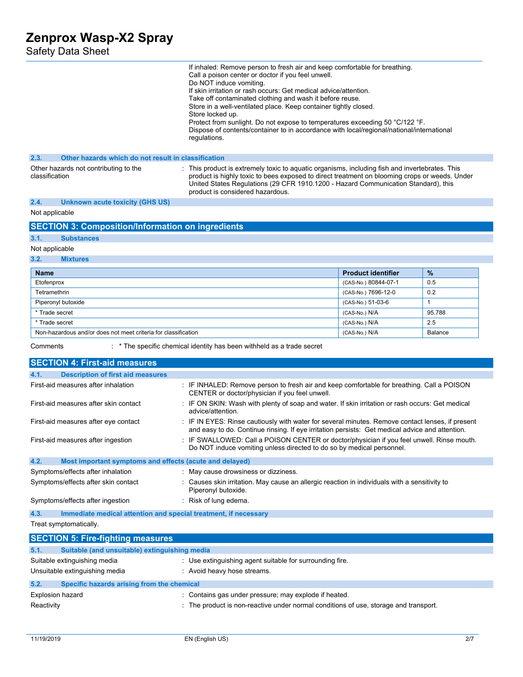| Safety Data Sheet                                                                                                                                         |                                                                                                                                                                                                                                                                                                                                                                                                                                                                                                                                                                                  |                                                                                                                                              |              |  |  |
|-----------------------------------------------------------------------------------------------------------------------------------------------------------|----------------------------------------------------------------------------------------------------------------------------------------------------------------------------------------------------------------------------------------------------------------------------------------------------------------------------------------------------------------------------------------------------------------------------------------------------------------------------------------------------------------------------------------------------------------------------------|----------------------------------------------------------------------------------------------------------------------------------------------|--------------|--|--|
|                                                                                                                                                           | If inhaled: Remove person to fresh air and keep comfortable for breathing.<br>Call a poison center or doctor if you feel unwell.<br>Do NOT induce vomiting.<br>If skin irritation or rash occurs: Get medical advice/attention.<br>Take off contaminated clothing and wash it before reuse.<br>Store in a well-ventilated place. Keep container tightly closed.<br>Store locked up.<br>Protect from sunlight. Do not expose to temperatures exceeding 50 °C/122 °F.<br>Dispose of contents/container to in accordance with local/regional/national/international<br>regulations. |                                                                                                                                              |              |  |  |
| 2.3.                                                                                                                                                      | Other hazards which do not result in classification                                                                                                                                                                                                                                                                                                                                                                                                                                                                                                                              |                                                                                                                                              |              |  |  |
| classification                                                                                                                                            | : This product is extremely toxic to aquatic organisms, including fish and invertebrates. This<br>Other hazards not contributing to the<br>product is highly toxic to bees exposed to direct treatment on blooming crops or weeds. Under<br>United States Regulations (29 CFR 1910.1200 - Hazard Communication Standard), this<br>product is considered hazardous.                                                                                                                                                                                                               |                                                                                                                                              |              |  |  |
| 2.4.<br><b>Unknown acute toxicity (GHS US)</b>                                                                                                            |                                                                                                                                                                                                                                                                                                                                                                                                                                                                                                                                                                                  |                                                                                                                                              |              |  |  |
| Not applicable                                                                                                                                            |                                                                                                                                                                                                                                                                                                                                                                                                                                                                                                                                                                                  |                                                                                                                                              |              |  |  |
|                                                                                                                                                           | <b>SECTION 3: Composition/Information on ingredients</b>                                                                                                                                                                                                                                                                                                                                                                                                                                                                                                                         |                                                                                                                                              |              |  |  |
| 3.1.<br><b>Substances</b>                                                                                                                                 |                                                                                                                                                                                                                                                                                                                                                                                                                                                                                                                                                                                  |                                                                                                                                              |              |  |  |
| Not applicable                                                                                                                                            |                                                                                                                                                                                                                                                                                                                                                                                                                                                                                                                                                                                  |                                                                                                                                              |              |  |  |
| 3.2.<br><b>Mixtures</b>                                                                                                                                   |                                                                                                                                                                                                                                                                                                                                                                                                                                                                                                                                                                                  |                                                                                                                                              |              |  |  |
| <b>Name</b>                                                                                                                                               |                                                                                                                                                                                                                                                                                                                                                                                                                                                                                                                                                                                  | <b>Product identifier</b>                                                                                                                    | $\%$         |  |  |
| Etofenprox                                                                                                                                                |                                                                                                                                                                                                                                                                                                                                                                                                                                                                                                                                                                                  | (CAS-No.) 80844-07-1                                                                                                                         | 0.5          |  |  |
| Tetramethrin                                                                                                                                              |                                                                                                                                                                                                                                                                                                                                                                                                                                                                                                                                                                                  | (CAS-No.) 7696-12-0                                                                                                                          | 0.2          |  |  |
| Piperonyl butoxide                                                                                                                                        |                                                                                                                                                                                                                                                                                                                                                                                                                                                                                                                                                                                  | (CAS-No.) 51-03-6                                                                                                                            | $\mathbf{1}$ |  |  |
| * Trade secret                                                                                                                                            |                                                                                                                                                                                                                                                                                                                                                                                                                                                                                                                                                                                  | (CAS-No.) N/A                                                                                                                                | 95.788       |  |  |
| * Trade secret                                                                                                                                            |                                                                                                                                                                                                                                                                                                                                                                                                                                                                                                                                                                                  | (CAS-No.) N/A                                                                                                                                | 2.5          |  |  |
| Non-hazardous and/or does not meet criteria for classification                                                                                            |                                                                                                                                                                                                                                                                                                                                                                                                                                                                                                                                                                                  | (CAS-No.) N/A                                                                                                                                | Balance      |  |  |
| Comments                                                                                                                                                  | : * The specific chemical identity has been withheld as a trade secret                                                                                                                                                                                                                                                                                                                                                                                                                                                                                                           |                                                                                                                                              |              |  |  |
|                                                                                                                                                           |                                                                                                                                                                                                                                                                                                                                                                                                                                                                                                                                                                                  |                                                                                                                                              |              |  |  |
| <b>SECTION 4: First-aid measures</b>                                                                                                                      |                                                                                                                                                                                                                                                                                                                                                                                                                                                                                                                                                                                  |                                                                                                                                              |              |  |  |
| 4.1.<br><b>Description of first aid measures</b>                                                                                                          |                                                                                                                                                                                                                                                                                                                                                                                                                                                                                                                                                                                  |                                                                                                                                              |              |  |  |
| First-aid measures after inhalation                                                                                                                       |                                                                                                                                                                                                                                                                                                                                                                                                                                                                                                                                                                                  | : IF INHALED: Remove person to fresh air and keep comfortable for breathing. Call a POISON<br>CENTER or doctor/physician if you feel unwell. |              |  |  |
| First-aid measures after skin contact                                                                                                                     | advice/attention.                                                                                                                                                                                                                                                                                                                                                                                                                                                                                                                                                                | : IF ON SKIN: Wash with plenty of soap and water. If skin irritation or rash occurs: Get medical                                             |              |  |  |
| First-aid measures after eye contact                                                                                                                      |                                                                                                                                                                                                                                                                                                                                                                                                                                                                                                                                                                                  | : IF IN EYES: Rinse cautiously with water for several minutes. Remove contact lenses, if present                                             |              |  |  |
| First-aid measures after ingestion                                                                                                                        | and easy to do. Continue rinsing. If eye irritation persists: Get medical advice and attention.<br>: IF SWALLOWED: Call a POISON CENTER or doctor/physician if you feel unwell. Rinse mouth.<br>Do NOT induce vomiting unless directed to do so by medical personnel.                                                                                                                                                                                                                                                                                                            |                                                                                                                                              |              |  |  |
| 4.2.                                                                                                                                                      | Most important symptoms and effects (acute and delayed)                                                                                                                                                                                                                                                                                                                                                                                                                                                                                                                          |                                                                                                                                              |              |  |  |
| Symptoms/effects after inhalation                                                                                                                         | : May cause drowsiness or dizziness.                                                                                                                                                                                                                                                                                                                                                                                                                                                                                                                                             |                                                                                                                                              |              |  |  |
| Symptoms/effects after skin contact                                                                                                                       | Causes skin irritation. May cause an allergic reaction in individuals with a sensitivity to<br>Piperonyl butoxide.                                                                                                                                                                                                                                                                                                                                                                                                                                                               |                                                                                                                                              |              |  |  |
| : Risk of lung edema.<br>Symptoms/effects after ingestion                                                                                                 |                                                                                                                                                                                                                                                                                                                                                                                                                                                                                                                                                                                  |                                                                                                                                              |              |  |  |
| 4.3.<br>Immediate medical attention and special treatment, if necessary                                                                                   |                                                                                                                                                                                                                                                                                                                                                                                                                                                                                                                                                                                  |                                                                                                                                              |              |  |  |
| Treat symptomatically.                                                                                                                                    |                                                                                                                                                                                                                                                                                                                                                                                                                                                                                                                                                                                  |                                                                                                                                              |              |  |  |
|                                                                                                                                                           |                                                                                                                                                                                                                                                                                                                                                                                                                                                                                                                                                                                  |                                                                                                                                              |              |  |  |
| <b>SECTION 5: Fire-fighting measures</b>                                                                                                                  |                                                                                                                                                                                                                                                                                                                                                                                                                                                                                                                                                                                  |                                                                                                                                              |              |  |  |
| Suitable (and unsuitable) extinguishing media<br>5.1.                                                                                                     |                                                                                                                                                                                                                                                                                                                                                                                                                                                                                                                                                                                  |                                                                                                                                              |              |  |  |
| Suitable extinguishing media<br>: Use extinguishing agent suitable for surrounding fire.<br>Unsuitable extinguishing media<br>: Avoid heavy hose streams. |                                                                                                                                                                                                                                                                                                                                                                                                                                                                                                                                                                                  |                                                                                                                                              |              |  |  |
|                                                                                                                                                           |                                                                                                                                                                                                                                                                                                                                                                                                                                                                                                                                                                                  |                                                                                                                                              |              |  |  |
| 5.2.<br>Specific hazards arising from the chemical                                                                                                        |                                                                                                                                                                                                                                                                                                                                                                                                                                                                                                                                                                                  |                                                                                                                                              |              |  |  |
| <b>Explosion hazard</b>                                                                                                                                   | : Contains gas under pressure; may explode if heated.                                                                                                                                                                                                                                                                                                                                                                                                                                                                                                                            |                                                                                                                                              |              |  |  |
| The product is non-reactive under normal conditions of use, storage and transport.<br>Reactivity                                                          |                                                                                                                                                                                                                                                                                                                                                                                                                                                                                                                                                                                  |                                                                                                                                              |              |  |  |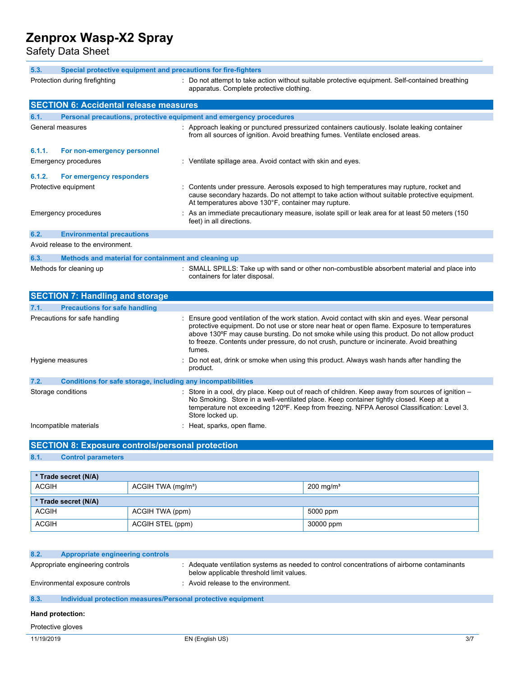Safety Data Sheet

| 5.3.<br>Special protective equipment and precautions for fire-fighters                                                                                                        |                                                                                                                                                                                                                                                                                                                                                                                                   |  |  |  |
|-------------------------------------------------------------------------------------------------------------------------------------------------------------------------------|---------------------------------------------------------------------------------------------------------------------------------------------------------------------------------------------------------------------------------------------------------------------------------------------------------------------------------------------------------------------------------------------------|--|--|--|
| : Do not attempt to take action without suitable protective equipment. Self-contained breathing<br>Protection during firefighting<br>apparatus. Complete protective clothing. |                                                                                                                                                                                                                                                                                                                                                                                                   |  |  |  |
| <b>SECTION 6: Accidental release measures</b>                                                                                                                                 |                                                                                                                                                                                                                                                                                                                                                                                                   |  |  |  |
| 6.1.<br>Personal precautions, protective equipment and emergency procedures                                                                                                   |                                                                                                                                                                                                                                                                                                                                                                                                   |  |  |  |
| General measures                                                                                                                                                              | : Approach leaking or punctured pressurized containers cautiously. Isolate leaking container<br>from all sources of ignition. Avoid breathing fumes. Ventilate enclosed areas.                                                                                                                                                                                                                    |  |  |  |
| 6.1.1.<br>For non-emergency personnel                                                                                                                                         |                                                                                                                                                                                                                                                                                                                                                                                                   |  |  |  |
| <b>Emergency procedures</b>                                                                                                                                                   | : Ventilate spillage area. Avoid contact with skin and eyes.                                                                                                                                                                                                                                                                                                                                      |  |  |  |
| 6.1.2.<br>For emergency responders                                                                                                                                            |                                                                                                                                                                                                                                                                                                                                                                                                   |  |  |  |
| Protective equipment                                                                                                                                                          | Contents under pressure. Aerosols exposed to high temperatures may rupture, rocket and<br>cause secondary hazards. Do not attempt to take action without suitable protective equipment.<br>At temperatures above 130°F, container may rupture.                                                                                                                                                    |  |  |  |
| <b>Emergency procedures</b>                                                                                                                                                   | : As an immediate precautionary measure, isolate spill or leak area for at least 50 meters (150<br>feet) in all directions.                                                                                                                                                                                                                                                                       |  |  |  |
| 6.2.<br><b>Environmental precautions</b>                                                                                                                                      |                                                                                                                                                                                                                                                                                                                                                                                                   |  |  |  |
| Avoid release to the environment.                                                                                                                                             |                                                                                                                                                                                                                                                                                                                                                                                                   |  |  |  |
| 6.3.<br>Methods and material for containment and cleaning up                                                                                                                  |                                                                                                                                                                                                                                                                                                                                                                                                   |  |  |  |
| Methods for cleaning up                                                                                                                                                       | : SMALL SPILLS: Take up with sand or other non-combustible absorbent material and place into<br>containers for later disposal.                                                                                                                                                                                                                                                                    |  |  |  |
| <b>SECTION 7: Handling and storage</b>                                                                                                                                        |                                                                                                                                                                                                                                                                                                                                                                                                   |  |  |  |
| 7.1.<br><b>Precautions for safe handling</b>                                                                                                                                  |                                                                                                                                                                                                                                                                                                                                                                                                   |  |  |  |
| Precautions for safe handling                                                                                                                                                 | Ensure good ventilation of the work station. Avoid contact with skin and eyes. Wear personal<br>protective equipment. Do not use or store near heat or open flame. Exposure to temperatures<br>above 130°F may cause bursting. Do not smoke while using this product. Do not allow product<br>to freeze. Contents under pressure, do not crush, puncture or incinerate. Avoid breathing<br>fumes. |  |  |  |
| Hygiene measures                                                                                                                                                              | Do not eat, drink or smoke when using this product. Always wash hands after handling the<br>product.                                                                                                                                                                                                                                                                                              |  |  |  |
| 7.2.<br>Conditions for safe storage, including any incompatibilities                                                                                                          |                                                                                                                                                                                                                                                                                                                                                                                                   |  |  |  |
| Storage conditions                                                                                                                                                            | Store in a cool, dry place. Keep out of reach of children. Keep away from sources of ignition –<br>No Smoking. Store in a well-ventilated place. Keep container tightly closed. Keep at a<br>temperature not exceeding 120°F. Keep from freezing. NFPA Aerosol Classification: Level 3.<br>Store locked up.                                                                                       |  |  |  |
| Incompatible materials                                                                                                                                                        | Heat, sparks, open flame.                                                                                                                                                                                                                                                                                                                                                                         |  |  |  |

# **SECTION 8: Exposure controls/personal protection**

# **8.1. Control parameters**

| * Trade secret (N/A)                        |                                |                      |  |  |  |
|---------------------------------------------|--------------------------------|----------------------|--|--|--|
| ACGIH                                       | ACGIH TWA (mg/m <sup>3</sup> ) | $200 \text{ mg/m}^3$ |  |  |  |
| * Trade secret (N/A)                        |                                |                      |  |  |  |
| <b>ACGIH</b><br>5000 ppm<br>ACGIH TWA (ppm) |                                |                      |  |  |  |
| <b>ACGIH</b>                                | ACGIH STEL (ppm)               | 30000 ppm            |  |  |  |

| 8.2.<br><b>Appropriate engineering controls</b>                      |                                                                                                                                         |     |  |  |  |
|----------------------------------------------------------------------|-----------------------------------------------------------------------------------------------------------------------------------------|-----|--|--|--|
| Appropriate engineering controls                                     | : Adequate ventilation systems as needed to control concentrations of airborne contaminants<br>below applicable threshold limit values. |     |  |  |  |
| Environmental exposure controls                                      | : Avoid release to the environment.                                                                                                     |     |  |  |  |
| 8.3.<br>Individual protection measures/Personal protective equipment |                                                                                                                                         |     |  |  |  |
| Hand protection:                                                     |                                                                                                                                         |     |  |  |  |
| Protective gloves                                                    |                                                                                                                                         |     |  |  |  |
| 11/19/2019                                                           | EN (English US)                                                                                                                         | 3/7 |  |  |  |
|                                                                      |                                                                                                                                         |     |  |  |  |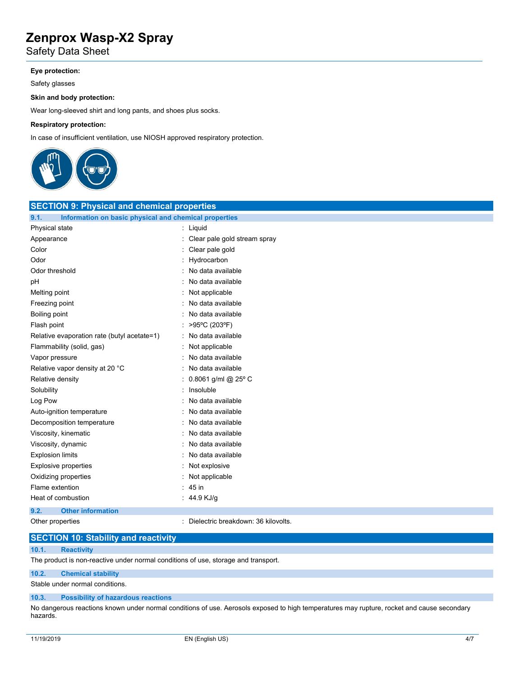Safety Data Sheet

### **Eye protection:**

Safety glasses

#### **Skin and body protection:**

Wear long-sleeved shirt and long pants, and shoes plus socks.

#### **Respiratory protection:**

In case of insufficient ventilation, use NIOSH approved respiratory protection.



| <b>SECTION 9: Physical and chemical properties</b>            |                                     |  |  |  |
|---------------------------------------------------------------|-------------------------------------|--|--|--|
| 9.1.<br>Information on basic physical and chemical properties |                                     |  |  |  |
| Physical state                                                | : Liquid                            |  |  |  |
| Appearance                                                    | Clear pale gold stream spray        |  |  |  |
| Color                                                         | Clear pale gold                     |  |  |  |
| Odor                                                          | : Hydrocarbon                       |  |  |  |
| Odor threshold                                                | : No data available                 |  |  |  |
| pH                                                            | : No data available                 |  |  |  |
| Melting point                                                 | : Not applicable                    |  |  |  |
| Freezing point                                                | : No data available                 |  |  |  |
| <b>Boiling point</b>                                          | : No data available                 |  |  |  |
| Flash point                                                   | : >95°C (203°F)                     |  |  |  |
| Relative evaporation rate (butyl acetate=1)                   | : No data available                 |  |  |  |
| Flammability (solid, gas)                                     | : Not applicable                    |  |  |  |
| Vapor pressure                                                | : No data available                 |  |  |  |
| Relative vapor density at 20 °C                               | : No data available                 |  |  |  |
| Relative density                                              | : 0.8061 g/ml @ 25° C               |  |  |  |
| Solubility                                                    | : Insoluble                         |  |  |  |
| Log Pow                                                       | : No data available                 |  |  |  |
| Auto-ignition temperature                                     | : No data available                 |  |  |  |
| Decomposition temperature                                     | : No data available                 |  |  |  |
| Viscosity, kinematic                                          | : No data available                 |  |  |  |
| Viscosity, dynamic                                            | : No data available                 |  |  |  |
| <b>Explosion limits</b>                                       | No data available                   |  |  |  |
| <b>Explosive properties</b>                                   | Not explosive                       |  |  |  |
| Oxidizing properties                                          | Not applicable                      |  |  |  |
| Flame extention                                               | $: 45$ in                           |  |  |  |
| Heat of combustion                                            | : 44.9 KJ/g                         |  |  |  |
| <b>Other information</b><br>9.2.                              |                                     |  |  |  |
| Other properties                                              | Dielectric breakdown: 36 kilovolts. |  |  |  |

### **SECTION 10: Stability and reactivity**

### **10.1. Reactivity**

The product is non-reactive under normal conditions of use, storage and transport.

### **10.2. Chemical stability**

Stable under normal conditions.

#### **10.3. Possibility of hazardous reactions**

No dangerous reactions known under normal conditions of use. Aerosols exposed to high temperatures may rupture, rocket and cause secondary hazards.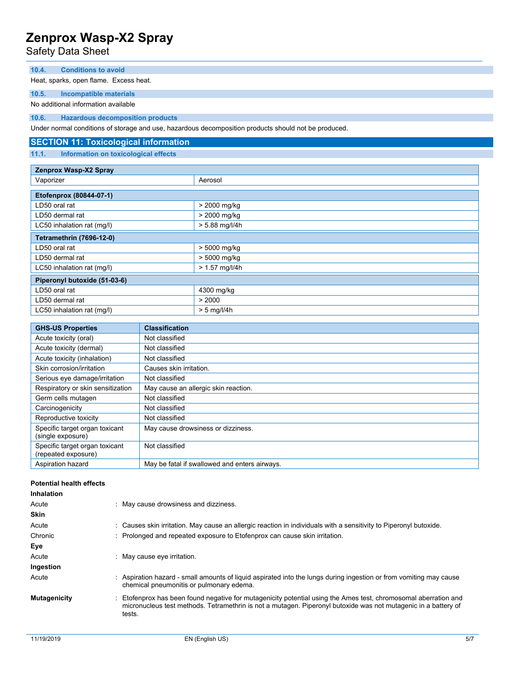Safety Data Sheet

#### **10.4. Conditions to avoid**

Heat, sparks, open flame. Excess heat.

**10.5. Incompatible materials**

No additional information available

**10.6. Hazardous decomposition products**

Under normal conditions of storage and use, hazardous decomposition products should not be produced.

### **SECTION 11: Toxicological information**

**11.1. Information on toxicological effects**

| Zenprox Wasp-X2 Spray           |                  |  |
|---------------------------------|------------------|--|
| Vaporizer                       | Aerosol          |  |
|                                 |                  |  |
| Etofenprox (80844-07-1)         |                  |  |
| LD50 oral rat                   | > 2000 mg/kg     |  |
| LD50 dermal rat                 | > 2000 mg/kg     |  |
| LC50 inhalation rat (mg/l)      | $> 5.88$ mg/l/4h |  |
| <b>Tetramethrin (7696-12-0)</b> |                  |  |
| LD50 oral rat                   | > 5000 mg/kg     |  |
| LD50 dermal rat                 | > 5000 mg/kg     |  |
| LC50 inhalation rat (mg/l)      | $> 1.57$ mg/l/4h |  |
| Piperonyl butoxide (51-03-6)    |                  |  |
| LD50 oral rat                   | 4300 mg/kg       |  |
| LD50 dermal rat                 | > 2000           |  |
| LC50 inhalation rat (mg/l)      | $> 5$ mg/l/4h    |  |

| <b>GHS-US Properties</b>                              | <b>Classification</b>                         |
|-------------------------------------------------------|-----------------------------------------------|
| Acute toxicity (oral)                                 | Not classified                                |
| Acute toxicity (dermal)                               | Not classified                                |
| Acute toxicity (inhalation)                           | Not classified                                |
| Skin corrosion/irritation                             | Causes skin irritation.                       |
| Serious eye damage/irritation                         | Not classified                                |
| Respiratory or skin sensitization                     | May cause an allergic skin reaction.          |
| Germ cells mutagen                                    | Not classified                                |
| Carcinogenicity                                       | Not classified                                |
| Reproductive toxicity                                 | Not classified                                |
| Specific target organ toxicant<br>(single exposure)   | May cause drowsiness or dizziness.            |
| Specific target organ toxicant<br>(repeated exposure) | Not classified                                |
| Aspiration hazard                                     | May be fatal if swallowed and enters airways. |

#### **Potential health effects**

| <b>Inhalation</b>   |                                                                                                                                                                                                                                             |
|---------------------|---------------------------------------------------------------------------------------------------------------------------------------------------------------------------------------------------------------------------------------------|
| Acute               | May cause drowsiness and dizziness.                                                                                                                                                                                                         |
| <b>Skin</b>         |                                                                                                                                                                                                                                             |
| Acute               | : Causes skin irritation. May cause an allergic reaction in individuals with a sensitivity to Piperonyl butoxide.                                                                                                                           |
| Chronic             | : Prolonged and repeated exposure to Etofenprox can cause skin irritation.                                                                                                                                                                  |
| Eye                 |                                                                                                                                                                                                                                             |
| Acute               | May cause eye irritation.                                                                                                                                                                                                                   |
| Ingestion           |                                                                                                                                                                                                                                             |
| Acute               | : Aspiration hazard - small amounts of liquid aspirated into the lungs during ingestion or from vomiting may cause<br>chemical pneumonitis or pulmonary edema.                                                                              |
| <b>Mutagenicity</b> | : Etofenprox has been found negative for mutagenicity potential using the Ames test, chromosomal aberration and<br>micronucleus test methods. Tetramethrin is not a mutagen. Piperonyl butoxide was not mutagenic in a battery of<br>tests. |
|                     |                                                                                                                                                                                                                                             |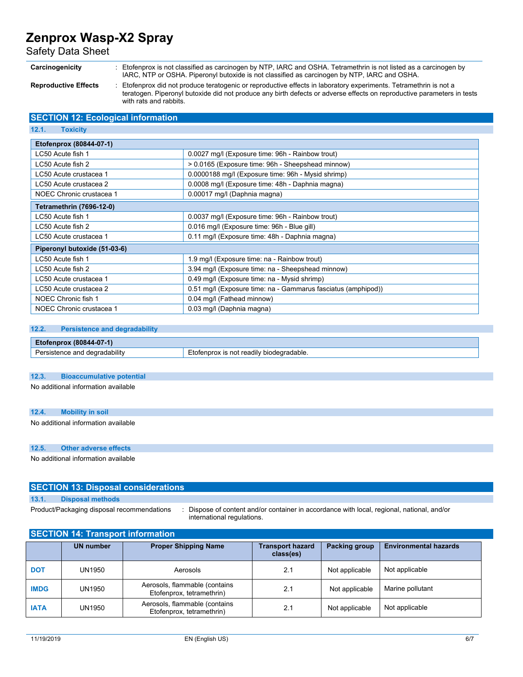Safety Data Sheet

**Carcinogenicity** : Etofenprox is not classified as carcinogen by NTP, IARC and OSHA. Tetramethrin is not listed as a carcinogen by IARC, NTP or OSHA. Piperonyl butoxide is not classified as carcinogen by NTP, IARC and OSHA.

**Reproductive Effects** : Etofenprox did not produce teratogenic or reproductive effects in laboratory experiments. Tetramethrin is not a teratogen. Piperonyl butoxide did not produce any birth defects or adverse effects on reproductive parameters in tests with rats and rabbits.

## **SECTION 12: Ecological information**

| Etofenprox (80844-07-1)<br>LC50 Acute fish 1<br>0.0027 mg/l (Exposure time: 96h - Rainbow trout) |  |  |  |
|--------------------------------------------------------------------------------------------------|--|--|--|
| > 0.0165 (Exposure time: 96h - Sheepshead minnow)                                                |  |  |  |
| 0.0000188 mg/l (Exposure time: 96h - Mysid shrimp)                                               |  |  |  |
| 0.0008 mg/l (Exposure time: 48h - Daphnia magna)                                                 |  |  |  |
| 0.00017 mg/l (Daphnia magna)                                                                     |  |  |  |
| <b>Tetramethrin (7696-12-0)</b>                                                                  |  |  |  |
| 0.0037 mg/l (Exposure time: 96h - Rainbow trout)                                                 |  |  |  |
| 0.016 mg/l (Exposure time: 96h - Blue gill)                                                      |  |  |  |
| 0.11 mg/l (Exposure time: 48h - Daphnia magna)                                                   |  |  |  |
| Piperonyl butoxide (51-03-6)                                                                     |  |  |  |
| 1.9 mg/l (Exposure time: na - Rainbow trout)                                                     |  |  |  |
| 3.94 mg/l (Exposure time: na - Sheepshead minnow)                                                |  |  |  |
| 0.49 mg/l (Exposure time: na - Mysid shrimp)                                                     |  |  |  |
| 0.51 mg/l (Exposure time: na - Gammarus fasciatus (amphipod))                                    |  |  |  |
| 0.04 mg/l (Fathead minnow)                                                                       |  |  |  |
| 0.03 mg/l (Daphnia magna)                                                                        |  |  |  |
|                                                                                                  |  |  |  |

#### **12.2. Persistence and degradability**

| $-07-1)$<br>(80844)<br><b>Etorenprox</b> |                          |
|------------------------------------------|--------------------------|
|                                          | t readily biodegradable. |
| degradability                            | tennrox                  |
| nn.                                      | is not                   |
| 316                                      | <b>FIOTA</b>             |
| $\cdot$                                  |                          |

#### **12.3. Bioaccumulative potential**

No additional information available

#### **12.4. Mobility in soil**

No additional information available

#### **12.5. Other adverse effects**

No additional information available

## **SECTION 13: Disposal considerations**

#### **13.1. Disposal methods**

Product/Packaging disposal recommendations : Dispose of content and/or container in accordance with local, regional, national, and/or international regulations.

### **SECTION 14: Transport information**

|             | <b>UN number</b> | <b>Proper Shipping Name</b>                                | <b>Transport hazard</b><br>class(es) | Packing group  | <b>Environmental hazards</b> |
|-------------|------------------|------------------------------------------------------------|--------------------------------------|----------------|------------------------------|
| <b>DOT</b>  | UN1950           | Aerosols                                                   | 2.1                                  | Not applicable | Not applicable               |
| <b>IMDG</b> | UN1950           | Aerosols, flammable (contains<br>Etofenprox, tetramethrin) | 2.1                                  | Not applicable | Marine pollutant             |
| <b>IATA</b> | UN1950           | Aerosols, flammable (contains<br>Etofenprox, tetramethrin) | 2.1                                  | Not applicable | Not applicable               |